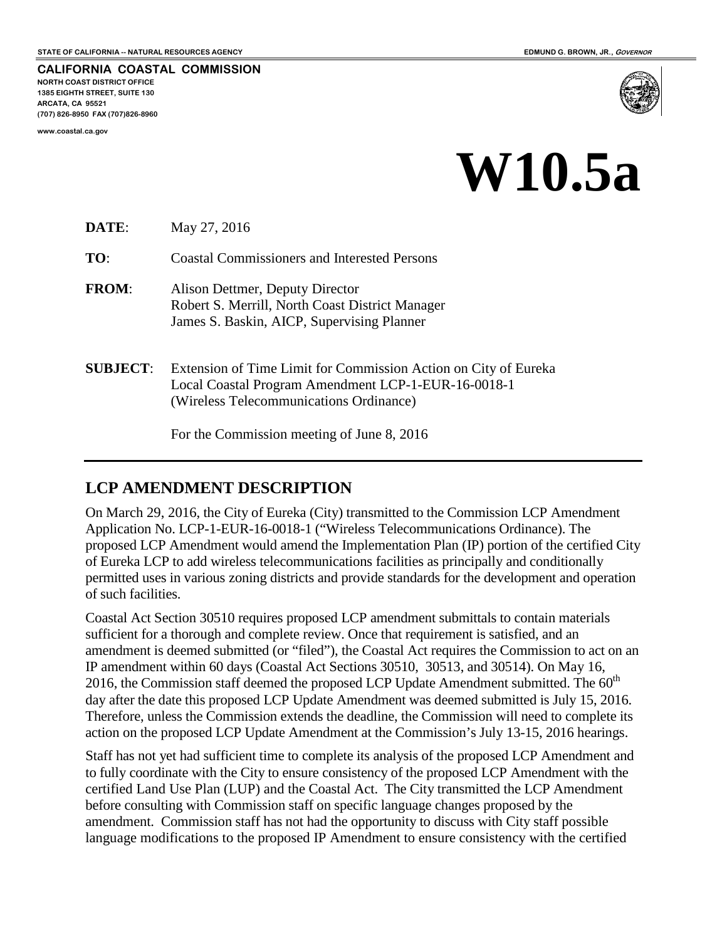**CALIFORNIA COASTAL COMMISSION NORTH COAST DISTRICT OFFICE 1385 EIGHTH STREET, SUITE 130 ARCATA, CA 95521 (707) 826-8950 FAX (707)826-8960**

**www.coastal.ca.gov**



## **W10.5a**

**DATE**: May 27, 2016

**TO**: Coastal Commissioners and Interested Persons

- **FROM**: Alison Dettmer, Deputy Director Robert S. Merrill, North Coast District Manager James S. Baskin, AICP, Supervising Planner
- **SUBJECT**: Extension of Time Limit for Commission Action on City of Eureka Local Coastal Program Amendment LCP-1-EUR-16-0018-1 (Wireless Telecommunications Ordinance)

For the Commission meeting of June 8, 2016

## **LCP AMENDMENT DESCRIPTION**

On March 29, 2016, the City of Eureka (City) transmitted to the Commission LCP Amendment Application No. LCP-1-EUR-16-0018-1 ("Wireless Telecommunications Ordinance). The proposed LCP Amendment would amend the Implementation Plan (IP) portion of the certified City of Eureka LCP to add wireless telecommunications facilities as principally and conditionally permitted uses in various zoning districts and provide standards for the development and operation of such facilities.

Coastal Act Section 30510 requires proposed LCP amendment submittals to contain materials sufficient for a thorough and complete review. Once that requirement is satisfied, and an amendment is deemed submitted (or "filed"), the Coastal Act requires the Commission to act on an IP amendment within 60 days (Coastal Act Sections 30510, 30513, and 30514). On May 16, 2016, the Commission staff deemed the proposed LCP Update Amendment submitted. The  $60<sup>th</sup>$ day after the date this proposed LCP Update Amendment was deemed submitted is July 15, 2016. Therefore, unless the Commission extends the deadline, the Commission will need to complete its action on the proposed LCP Update Amendment at the Commission's July 13-15, 2016 hearings.

Staff has not yet had sufficient time to complete its analysis of the proposed LCP Amendment and to fully coordinate with the City to ensure consistency of the proposed LCP Amendment with the certified Land Use Plan (LUP) and the Coastal Act. The City transmitted the LCP Amendment before consulting with Commission staff on specific language changes proposed by the amendment. Commission staff has not had the opportunity to discuss with City staff possible language modifications to the proposed IP Amendment to ensure consistency with the certified